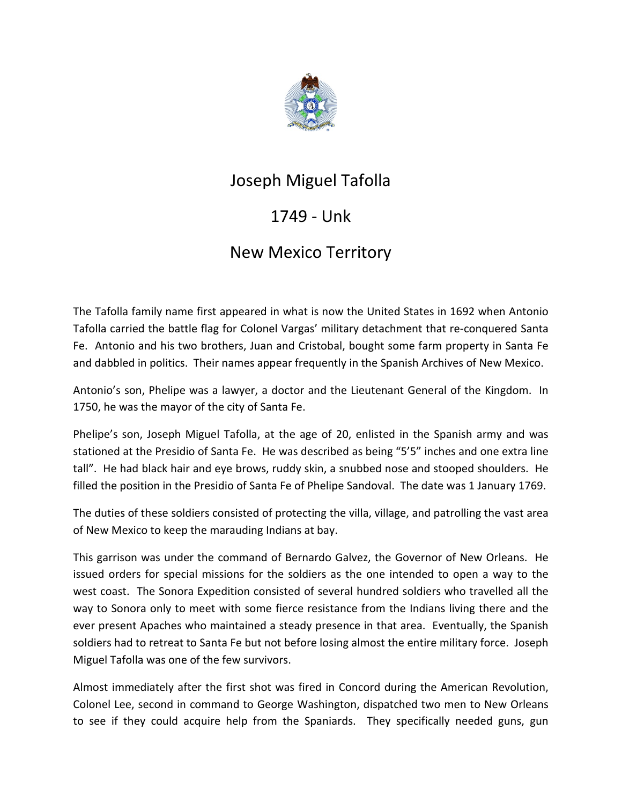

## Joseph Miguel Tafolla

## 1749 - Unk

## New Mexico Territory

The Tafolla family name first appeared in what is now the United States in 1692 when Antonio Tafolla carried the battle flag for Colonel Vargas' military detachment that re-conquered Santa Fe. Antonio and his two brothers, Juan and Cristobal, bought some farm property in Santa Fe and dabbled in politics. Their names appear frequently in the Spanish Archives of New Mexico.

Antonio's son, Phelipe was a lawyer, a doctor and the Lieutenant General of the Kingdom. In 1750, he was the mayor of the city of Santa Fe.

Phelipe's son, Joseph Miguel Tafolla, at the age of 20, enlisted in the Spanish army and was stationed at the Presidio of Santa Fe. He was described as being "5'5" inches and one extra line tall". He had black hair and eye brows, ruddy skin, a snubbed nose and stooped shoulders. He filled the position in the Presidio of Santa Fe of Phelipe Sandoval. The date was 1 January 1769.

The duties of these soldiers consisted of protecting the villa, village, and patrolling the vast area of New Mexico to keep the marauding Indians at bay.

This garrison was under the command of Bernardo Galvez, the Governor of New Orleans. He issued orders for special missions for the soldiers as the one intended to open a way to the west coast. The Sonora Expedition consisted of several hundred soldiers who travelled all the way to Sonora only to meet with some fierce resistance from the Indians living there and the ever present Apaches who maintained a steady presence in that area. Eventually, the Spanish soldiers had to retreat to Santa Fe but not before losing almost the entire military force. Joseph Miguel Tafolla was one of the few survivors.

Almost immediately after the first shot was fired in Concord during the American Revolution, Colonel Lee, second in command to George Washington, dispatched two men to New Orleans to see if they could acquire help from the Spaniards. They specifically needed guns, gun